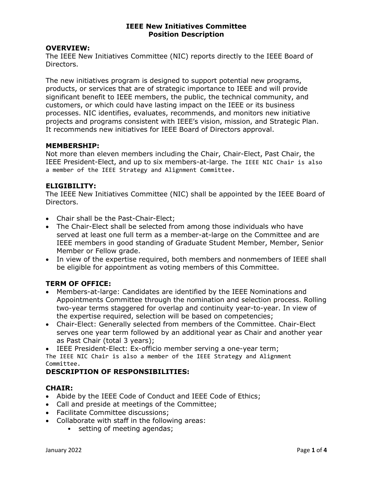#### OVERVIEW:

The IEEE New Initiatives Committee (NIC) reports directly to the IEEE Board of Directors.

The new initiatives program is designed to support potential new programs, products, or services that are of strategic importance to IEEE and will provide significant benefit to IEEE members, the public, the technical community, and customers, or which could have lasting impact on the IEEE or its business processes. NIC identifies, evaluates, recommends, and monitors new initiative projects and programs consistent with IEEE's vision, mission, and Strategic Plan. It recommends new initiatives for IEEE Board of Directors approval.

#### MEMBERSHIP:

Not more than eleven members including the Chair, Chair-Elect, Past Chair, the IEEE President-Elect, and up to six members-at-large. The IEEE NIC Chair is also a member of the IEEE Strategy and Alignment Committee.

#### ELIGIBILITY:

The IEEE New Initiatives Committee (NIC) shall be appointed by the IEEE Board of Directors.

- Chair shall be the Past-Chair-Elect;
- The Chair-Elect shall be selected from among those individuals who have served at least one full term as a member-at-large on the Committee and are IEEE members in good standing of Graduate Student Member, Member, Senior Member or Fellow grade.
- In view of the expertise required, both members and nonmembers of IEEE shall be eligible for appointment as voting members of this Committee.

#### TERM OF OFFICE:

- Members-at-large: Candidates are identified by the IEEE Nominations and Appointments Committee through the nomination and selection process. Rolling two-year terms staggered for overlap and continuity year-to-year. In view of the expertise required, selection will be based on competencies;
- Chair-Elect: Generally selected from members of the Committee. Chair-Elect serves one year term followed by an additional year as Chair and another year as Past Chair (total 3 years);

IEEE President-Elect: Ex-officio member serving a one-year term;

The IEEE NIC Chair is also a member of the IEEE Strategy and Alignment Committee.

### DESCRIPTION OF RESPONSIBILITIES:

### CHAIR:

- Abide by the IEEE Code of Conduct and IEEE Code of Ethics;
- Call and preside at meetings of the Committee;
- Facilitate Committee discussions;
- Collaborate with staff in the following areas:
	- setting of meeting agendas;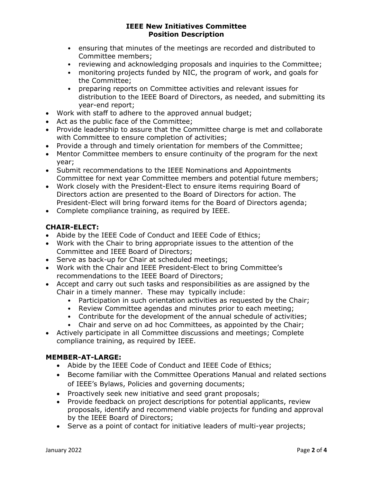- ensuring that minutes of the meetings are recorded and distributed to Committee members;
- reviewing and acknowledging proposals and inquiries to the Committee;
- monitoring projects funded by NIC, the program of work, and goals for the Committee;
- preparing reports on Committee activities and relevant issues for distribution to the IEEE Board of Directors, as needed, and submitting its year-end report;
- Work with staff to adhere to the approved annual budget;
- Act as the public face of the Committee;
- Provide leadership to assure that the Committee charge is met and collaborate with Committee to ensure completion of activities;
- Provide a through and timely orientation for members of the Committee;
- Mentor Committee members to ensure continuity of the program for the next year;
- Submit recommendations to the IEEE Nominations and Appointments Committee for next year Committee members and potential future members;
- Work closely with the President-Elect to ensure items requiring Board of Directors action are presented to the Board of Directors for action. The President-Elect will bring forward items for the Board of Directors agenda;
- Complete compliance training, as required by IEEE.

# CHAIR-ELECT:

- Abide by the IEEE Code of Conduct and IEEE Code of Ethics;
- Work with the Chair to bring appropriate issues to the attention of the Committee and IEEE Board of Directors;
- Serve as back-up for Chair at scheduled meetings;
- Work with the Chair and IEEE President-Elect to bring Committee's recommendations to the IEEE Board of Directors;
- Accept and carry out such tasks and responsibilities as are assigned by the Chair in a timely manner. These may typically include:
	- Participation in such orientation activities as requested by the Chair;
	- Review Committee agendas and minutes prior to each meeting;
	- Contribute for the development of the annual schedule of activities;
	- Chair and serve on ad hoc Committees, as appointed by the Chair;
- Actively participate in all Committee discussions and meetings; Complete compliance training, as required by IEEE.

# MEMBER-AT-LARGE:

- Abide by the IEEE Code of Conduct and IEEE Code of Ethics;
- Become familiar with the Committee Operations Manual and related sections of IEEE's Bylaws, Policies and governing documents;
- Proactively seek new initiative and seed grant proposals;
- Provide feedback on project descriptions for potential applicants, review proposals, identify and recommend viable projects for funding and approval by the IEEE Board of Directors;
- Serve as a point of contact for initiative leaders of multi-year projects;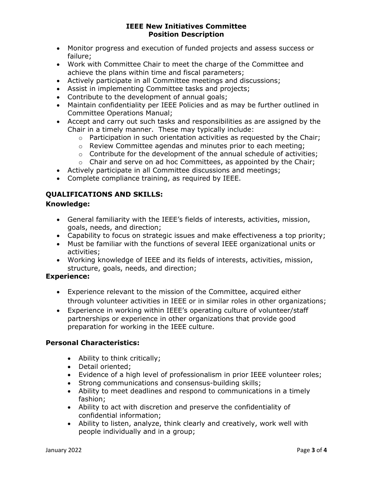- Monitor progress and execution of funded projects and assess success or failure;
- Work with Committee Chair to meet the charge of the Committee and achieve the plans within time and fiscal parameters;
- Actively participate in all Committee meetings and discussions;
- Assist in implementing Committee tasks and projects;
- Contribute to the development of annual goals;
- Maintain confidentiality per IEEE Policies and as may be further outlined in Committee Operations Manual;
- Accept and carry out such tasks and responsibilities as are assigned by the Chair in a timely manner. These may typically include:
	- o Participation in such orientation activities as requested by the Chair;
	- o Review Committee agendas and minutes prior to each meeting;
	- $\circ$  Contribute for the development of the annual schedule of activities;
	- $\circ$  Chair and serve on ad hoc Committees, as appointed by the Chair;
- Actively participate in all Committee discussions and meetings;
- Complete compliance training, as required by IEEE.

# QUALIFICATIONS AND SKILLS:

# Knowledge:

- General familiarity with the IEEE's fields of interests, activities, mission, goals, needs, and direction;
- Capability to focus on strategic issues and make effectiveness a top priority;
- Must be familiar with the functions of several IEEE organizational units or activities;
- Working knowledge of IEEE and its fields of interests, activities, mission, structure, goals, needs, and direction;

# Experience:

- Experience relevant to the mission of the Committee, acquired either through volunteer activities in IEEE or in similar roles in other organizations;
- Experience in working within IEEE's operating culture of volunteer/staff partnerships or experience in other organizations that provide good preparation for working in the IEEE culture.

# Personal Characteristics:

- Ability to think critically;
- Detail oriented;
- Evidence of a high level of professionalism in prior IEEE volunteer roles;
- Strong communications and consensus-building skills;
- Ability to meet deadlines and respond to communications in a timely fashion;
- Ability to act with discretion and preserve the confidentiality of confidential information;
- Ability to listen, analyze, think clearly and creatively, work well with people individually and in a group;